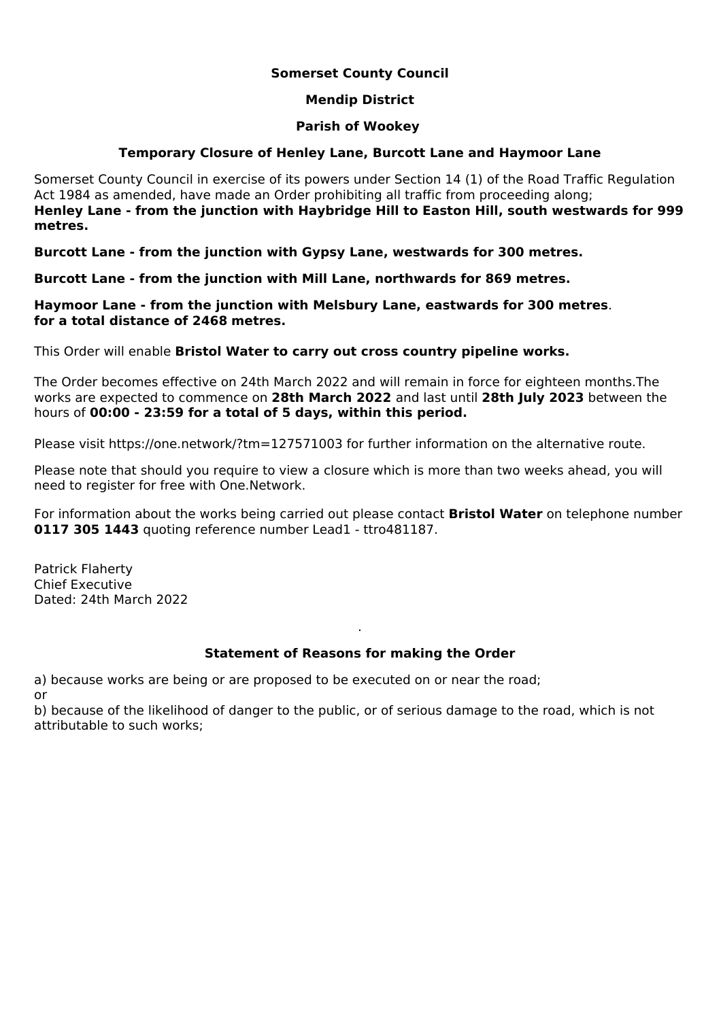### **Somerset County Council**

### **Mendip District**

#### **Parish of Wookey**

### **Temporary Closure of Henley Lane, Burcott Lane and Haymoor Lane**

Somerset County Council in exercise of its powers under Section 14 (1) of the Road Traffic Regulation Act 1984 as amended, have made an Order prohibiting all traffic from proceeding along; **Henley Lane - from the junction with Haybridge Hill to Easton Hill, south westwards for 999 metres.**

**Burcott Lane - from the junction with Gypsy Lane, westwards for 300 metres.**

**Burcott Lane - from the junction with Mill Lane, northwards for 869 metres.**

**Haymoor Lane - from the junction with Melsbury Lane, eastwards for 300 metres**. **for a total distance of 2468 metres.**

This Order will enable **Bristol Water to carry out cross country pipeline works.**

The Order becomes effective on 24th March 2022 and will remain in force for eighteen months.The works are expected to commence on **28th March 2022** and last until **28th July 2023** between the hours of **00:00 - 23:59 for a total of 5 days, within this period.**

Please visit https://one.network/?tm=127571003 for further information on the alternative route.

Please note that should you require to view a closure which is more than two weeks ahead, you will need to register for free with One.Network.

For information about the works being carried out please contact **Bristol Water** on telephone number **0117 305 1443** quoting reference number Lead1 - ttro481187.

Patrick Flaherty Chief Executive Dated: 24th March 2022

## **Statement of Reasons for making the Order**

.

a) because works are being or are proposed to be executed on or near the road; or

b) because of the likelihood of danger to the public, or of serious damage to the road, which is not attributable to such works;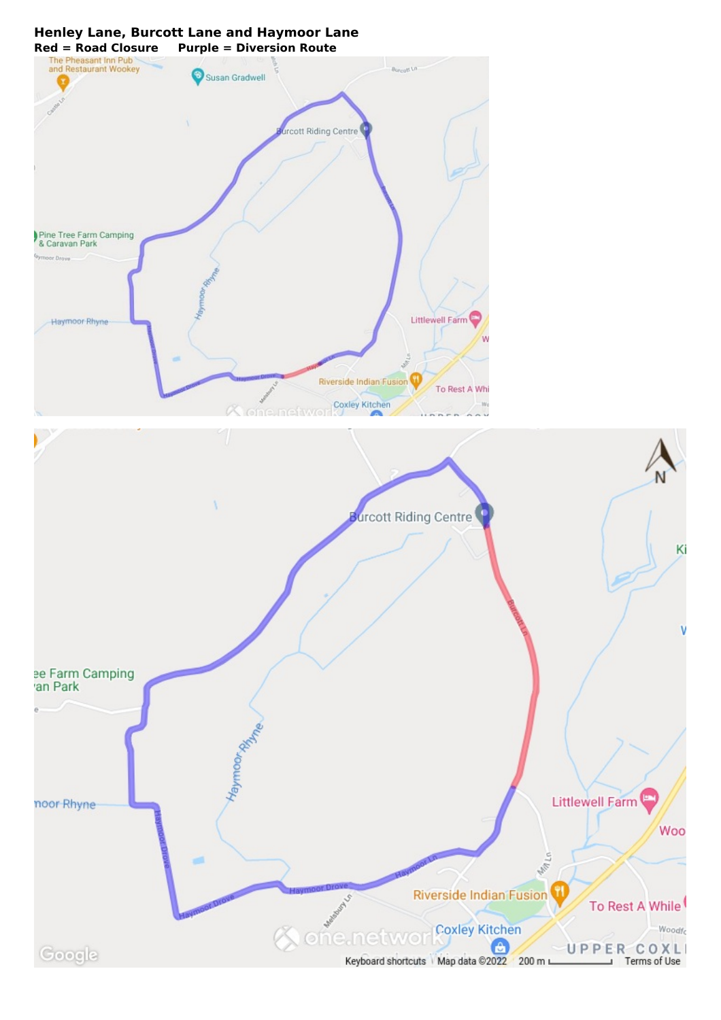# **Henley Lane, Burcott Lane and Haymoor Lane**



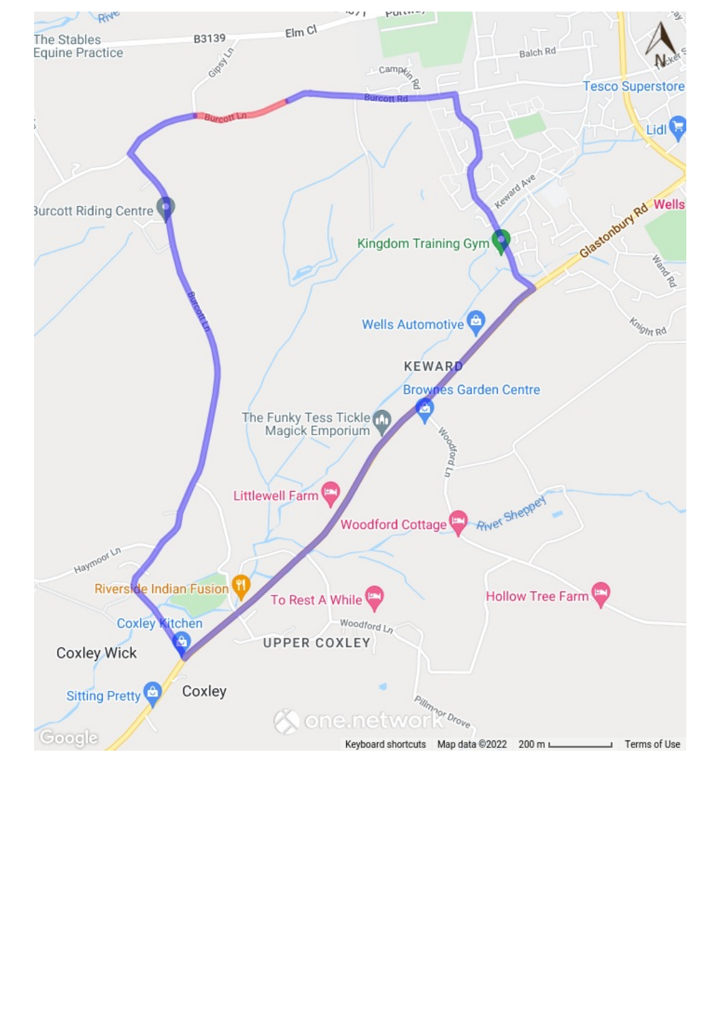